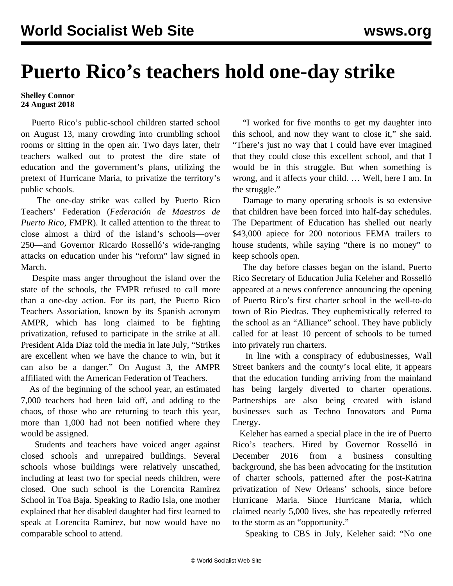## **Puerto Rico's teachers hold one-day strike**

## **Shelley Connor 24 August 2018**

 Puerto Rico's public-school children started school on August 13, many crowding into crumbling school rooms or sitting in the open air. Two days later, their teachers walked out to protest the dire state of education and the government's plans, utilizing the pretext of Hurricane Maria, to privatize the territory's public schools.

 The one-day strike was called by Puerto Rico Teachers' Federation (*Federación de Maestros de Puerto Rico*, FMPR). It called attention to the threat to close almost a third of the island's schools—over 250—and Governor Ricardo Rosselló's wide-ranging attacks on education under his "reform" law signed in March.

 Despite mass anger throughout the island over the state of the schools, the FMPR refused to call more than a one-day action. For its part, the Puerto Rico Teachers Association, known by its Spanish acronym AMPR, which has long claimed to be fighting privatization, refused to participate in the strike at all. President Aida Diaz told the media in late July, "Strikes are excellent when we have the chance to win, but it can also be a danger." On August 3, the AMPR affiliated with the American Federation of Teachers.

 As of the beginning of the school year, an estimated 7,000 teachers had been laid off, and adding to the chaos, of those who are returning to teach this year, more than 1,000 had not been notified where they would be assigned.

 Students and teachers have voiced anger against closed schools and unrepaired buildings. Several schools whose buildings were relatively unscathed, including at least two for special needs children, were closed. One such school is the Lorencita Ramirez School in Toa Baja. Speaking to Radio Isla, one mother explained that her disabled daughter had first learned to speak at Lorencita Ramirez, but now would have no comparable school to attend.

 "I worked for five months to get my daughter into this school, and now they want to close it," she said. "There's just no way that I could have ever imagined that they could close this excellent school, and that I would be in this struggle. But when something is wrong, and it affects your child. … Well, here I am. In the struggle."

 Damage to many operating schools is so extensive that children have been forced into half-day schedules. The Department of Education has shelled out nearly \$43,000 apiece for 200 notorious FEMA trailers to house students, while saying "there is no money" to keep schools open.

 The day before classes began on the island, Puerto Rico Secretary of Education Julia Keleher and Rosselló appeared at a news conference announcing the opening of Puerto Rico's first charter school in the well-to-do town of Rio Piedras. They euphemistically referred to the school as an "Alliance" school. They have publicly called for at least 10 percent of schools to be turned into privately run charters.

 In line with a conspiracy of edubusinesses, Wall Street bankers and the county's local elite, it appears that the education funding arriving from the mainland has being largely diverted to charter operations. Partnerships are also being created with island businesses such as Techno Innovators and Puma Energy.

 Keleher has earned a special place in the ire of Puerto Rico's teachers. Hired by Governor Rosselló in December 2016 from a business consulting background, she has been advocating for the institution of charter schools, patterned after the post-Katrina privatization of New Orleans' schools, since before Hurricane Maria. Since Hurricane Maria, which claimed nearly 5,000 lives, she has repeatedly referred to the storm as an "opportunity."

Speaking to CBS in July, Keleher said: "No one